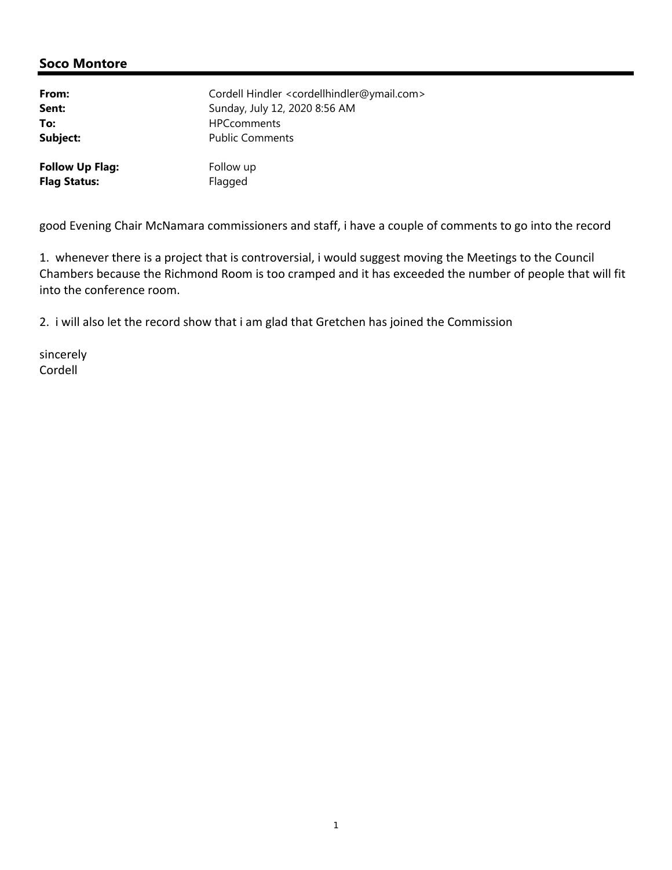| From:                  | Cordell Hindler <cordellhindler@ymail.com></cordellhindler@ymail.com> |
|------------------------|-----------------------------------------------------------------------|
| Sent:                  | Sunday, July 12, 2020 8:56 AM                                         |
| To:                    | <b>HPCcomments</b>                                                    |
| Subject:               | <b>Public Comments</b>                                                |
| <b>Follow Up Flag:</b> | Follow up                                                             |
| <b>Flag Status:</b>    | Flagged                                                               |

good Evening Chair McNamara commissioners and staff, i have a couple of comments to go into the record

1. whenever there is a project that is controversial, i would suggest moving the Meetings to the Council Chambers because the Richmond Room is too cramped and it has exceeded the number of people that will fit into the conference room.

2. i will also let the record show that i am glad that Gretchen has joined the Commission

sincerely Cordell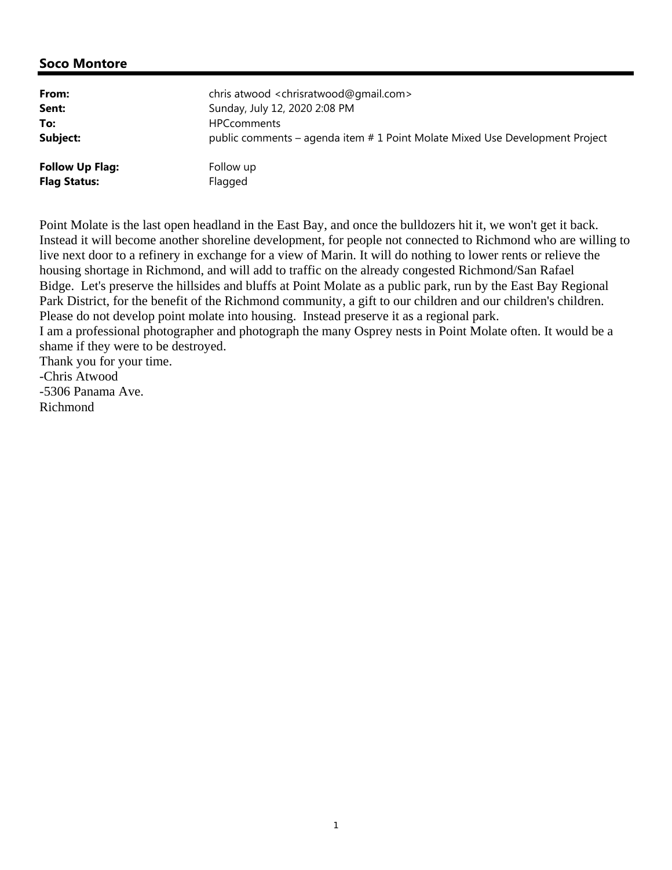| From:                  | chris atwood <chrisratwood@gmail.com></chrisratwood@gmail.com>               |
|------------------------|------------------------------------------------------------------------------|
| Sent:                  | Sunday, July 12, 2020 2:08 PM                                                |
| To:                    | <b>HPCcomments</b>                                                           |
| Subject:               | public comments – agenda item # 1 Point Molate Mixed Use Development Project |
| <b>Follow Up Flag:</b> | Follow up                                                                    |
| <b>Flag Status:</b>    | Flagged                                                                      |

Point Molate is the last open headland in the East Bay, and once the bulldozers hit it, we won't get it back. Instead it will become another shoreline development, for people not connected to Richmond who are willing to live next door to a refinery in exchange for a view of Marin. It will do nothing to lower rents or relieve the housing shortage in Richmond, and will add to traffic on the already congested Richmond/San Rafael Bidge. Let's preserve the hillsides and bluffs at Point Molate as a public park, run by the East Bay Regional Park District, for the benefit of the Richmond community, a gift to our children and our children's children. Please do not develop point molate into housing. Instead preserve it as a regional park. I am a professional photographer and photograph the many Osprey nests in Point Molate often. It would be a shame if they were to be destroyed. Thank you for your time. -Chris Atwood -5306 Panama Ave.

Richmond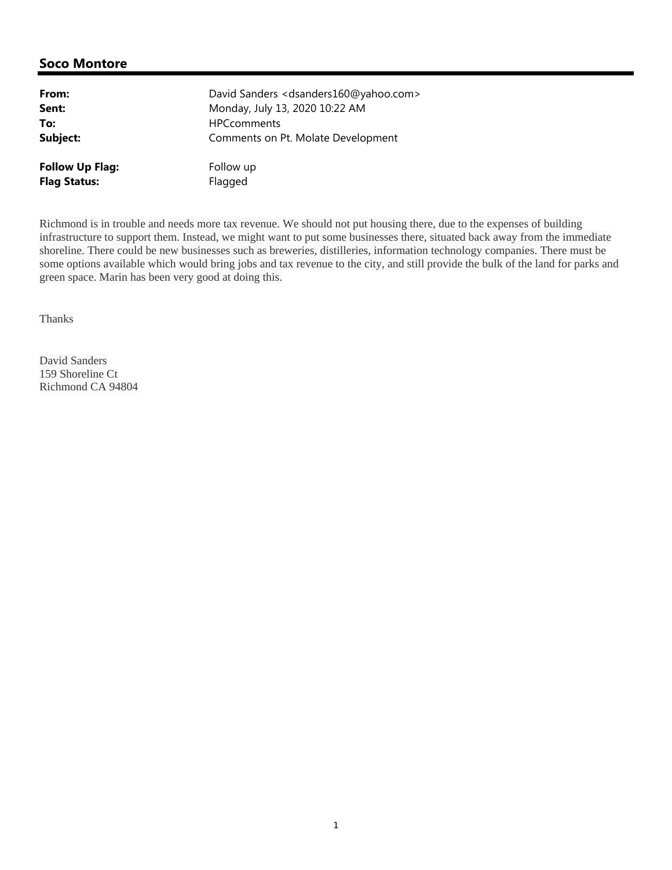| From:                  | David Sanders < dsanders160@yahoo.com> |
|------------------------|----------------------------------------|
| Sent:                  | Monday, July 13, 2020 10:22 AM         |
| To:                    | <b>HPCcomments</b>                     |
| Subject:               | Comments on Pt. Molate Development     |
| <b>Follow Up Flag:</b> | Follow up                              |
| <b>Flag Status:</b>    | Flagged                                |

Richmond is in trouble and needs more tax revenue. We should not put housing there, due to the expenses of building infrastructure to support them. Instead, we might want to put some businesses there, situated back away from the immediate shoreline. There could be new businesses such as breweries, distilleries, information technology companies. There must be some options available which would bring jobs and tax revenue to the city, and still provide the bulk of the land for parks and green space. Marin has been very good at doing this.

Thanks

David Sanders 159 Shoreline Ct Richmond CA 94804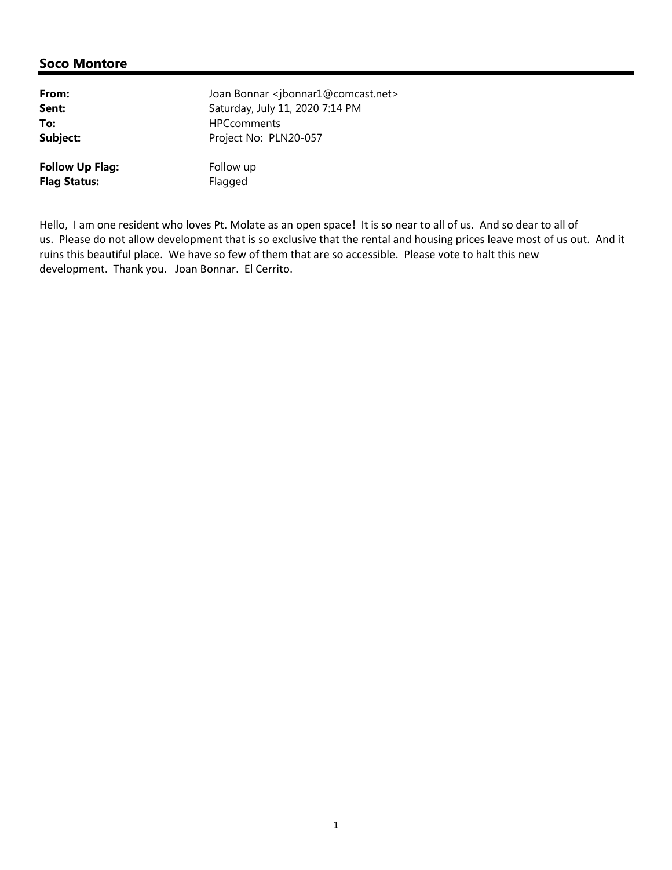| From:                  | Joan Bonnar <jbonnar1@comcast.net></jbonnar1@comcast.net> |
|------------------------|-----------------------------------------------------------|
| Sent:                  | Saturday, July 11, 2020 7:14 PM                           |
| To:                    | <b>HPCcomments</b>                                        |
| Subject:               | Project No: PLN20-057                                     |
| <b>Follow Up Flag:</b> | Follow up                                                 |
| <b>Flag Status:</b>    | Flagged                                                   |

Hello, I am one resident who loves Pt. Molate as an open space! It is so near to all of us. And so dear to all of us. Please do not allow development that is so exclusive that the rental and housing prices leave most of us out. And it ruins this beautiful place. We have so few of them that are so accessible. Please vote to halt this new development. Thank you. Joan Bonnar. El Cerrito.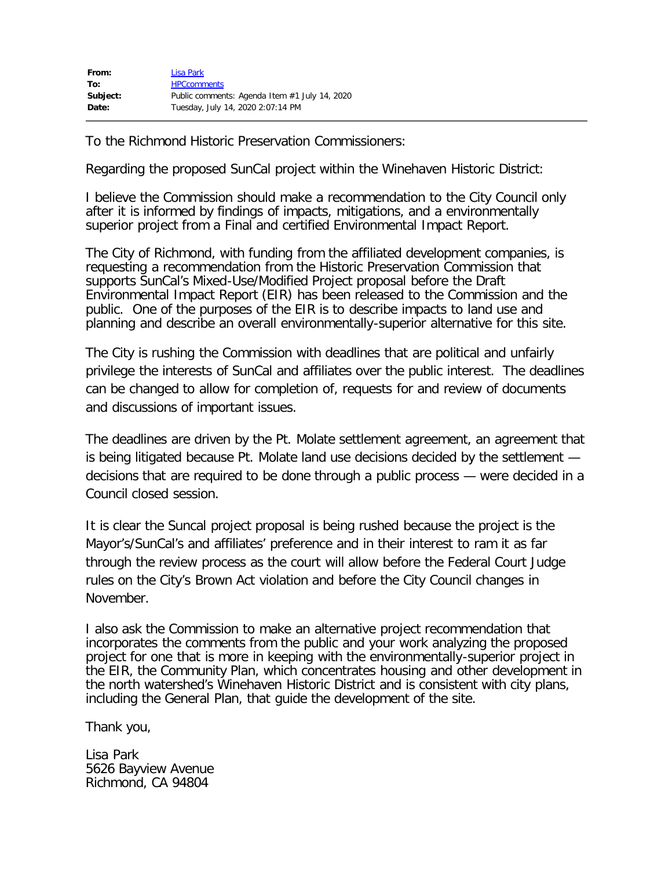| From:    | Lisa Park                                     |
|----------|-----------------------------------------------|
| To:      | <b>HPCcomments</b>                            |
| Subject: | Public comments: Agenda Item #1 July 14, 2020 |
| Date:    | Tuesday, July 14, 2020 2:07:14 PM             |

To the Richmond Historic Preservation Commissioners:

Regarding the proposed SunCal project within the Winehaven Historic District:

I believe the Commission should make a recommendation to the City Council only after it is informed by findings of impacts, mitigations, and a environmentally superior project from a Final and certified Environmental Impact Report.

The City of Richmond, with funding from the affiliated development companies, is requesting a recommendation from the Historic Preservation Commission that supports SunCal's Mixed-Use/Modified Project proposal before the Draft Environmental Impact Report (EIR) has been released to the Commission and the public. One of the purposes of the EIR is to describe impacts to land use and planning and describe an overall environmentally-superior alternative for this site.

The City is rushing the Commission with deadlines that are political and unfairly privilege the interests of SunCal and affiliates over the public interest. The deadlines can be changed to allow for completion of, requests for and review of documents and discussions of important issues.

The deadlines are driven by the Pt. Molate settlement agreement, an agreement that is being litigated because Pt. Molate land use decisions decided by the settlement decisions that are required to be done through a public process — were decided in a Council closed session.

It is clear the Suncal project proposal is being rushed because the project is the Mayor's/SunCal's and affiliates' preference and in their interest to ram it as far through the review process as the court will allow before the Federal Court Judge rules on the City's Brown Act violation and before the City Council changes in November.

I also ask the Commission to make an alternative project recommendation that incorporates the comments from the public and your work analyzing the proposed project for one that is more in keeping with the environmentally-superior project in the EIR, the Community Plan, which concentrates housing and other development in the north watershed's Winehaven Historic District and is consistent with city plans, including the General Plan, that guide the development of the site.

Thank you,

Lisa Park 5626 Bayview Avenue Richmond, CA 94804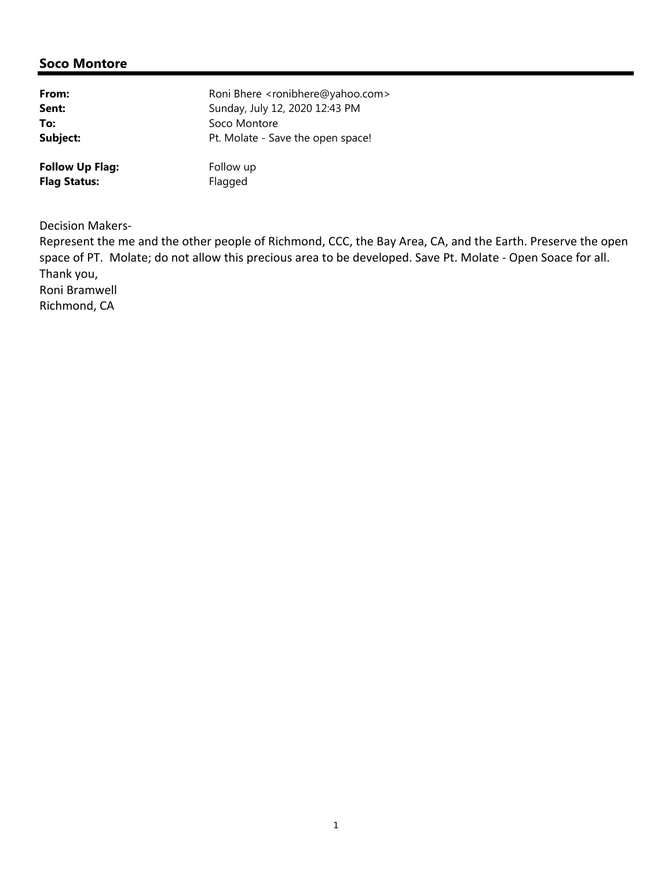| From:                  | Roni Bhere <ronibhere@yahoo.com></ronibhere@yahoo.com> |
|------------------------|--------------------------------------------------------|
| Sent:                  | Sunday, July 12, 2020 12:43 PM                         |
| To:                    | Soco Montore                                           |
| Subject:               | Pt. Molate - Save the open space!                      |
| <b>Follow Up Flag:</b> | Follow up                                              |
| <b>Flag Status:</b>    | Flagged                                                |

Decision Makers‐

Represent the me and the other people of Richmond, CCC, the Bay Area, CA, and the Earth. Preserve the open space of PT. Molate; do not allow this precious area to be developed. Save Pt. Molate ‐ Open Soace for all. Thank you,

Roni Bramwell

Richmond, CA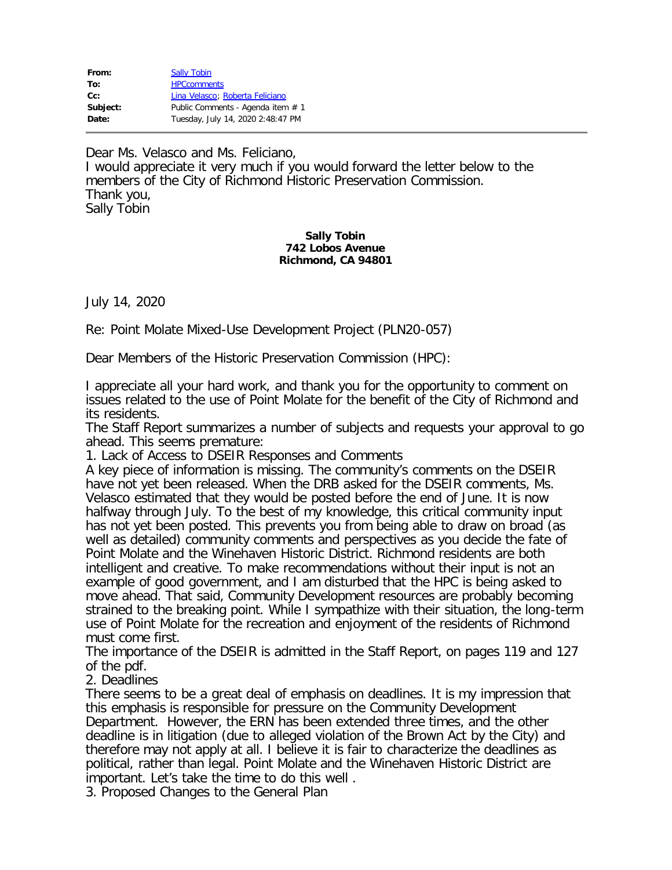| From:    | <b>Sally Tobin</b>                |
|----------|-----------------------------------|
| To:      | <b>HPCcomments</b>                |
| $Cc$ :   | Lina Velasco; Roberta Feliciano   |
| Subject: | Public Comments - Agenda item # 1 |
| Date:    | Tuesday, July 14, 2020 2:48:47 PM |
|          |                                   |

Dear Ms. Velasco and Ms. Feliciano, I would appreciate it very much if you would forward the letter below to the members of the City of Richmond Historic Preservation Commission. Thank you, Sally Tobin

#### **Sally Tobin 742 Lobos Avenue Richmond, CA 94801**

July 14, 2020

Re: Point Molate Mixed-Use Development Project (PLN20-057)

Dear Members of the Historic Preservation Commission (HPC):

I appreciate all your hard work, and thank you for the opportunity to comment on issues related to the use of Point Molate for the benefit of the City of Richmond and its residents.

The Staff Report summarizes a number of subjects and requests your approval to go ahead. This seems premature:

1. Lack of Access to DSEIR Responses and Comments

A key piece of information is missing. The community's comments on the DSEIR have not yet been released. When the DRB asked for the DSEIR comments, Ms. Velasco estimated that they would be posted before the end of June. It is now halfway through July. To the best of my knowledge, this critical community input has not yet been posted. This prevents you from being able to draw on broad (as well as detailed) community comments and perspectives as you decide the fate of Point Molate and the Winehaven Historic District. Richmond residents are both intelligent and creative. To make recommendations without their input is not an example of good government, and I am disturbed that the HPC is being asked to move ahead. That said, Community Development resources are probably becoming strained to the breaking point. While I sympathize with their situation, the long-term use of Point Molate for the recreation and enjoyment of the residents of Richmond must come first.

The importance of the DSEIR is admitted in the Staff Report, on pages 119 and 127 of the pdf.

2. Deadlines

There seems to be a great deal of emphasis on deadlines. It is my impression that this emphasis is responsible for pressure on the Community Development Department. However, the ERN has been extended three times, and the other deadline is in litigation (due to alleged violation of the Brown Act by the City) and therefore may not apply at all. I believe it is fair to characterize the deadlines as political, rather than legal. Point Molate and the Winehaven Historic District are important. Let's take the time to do this well .

3. Proposed Changes to the General Plan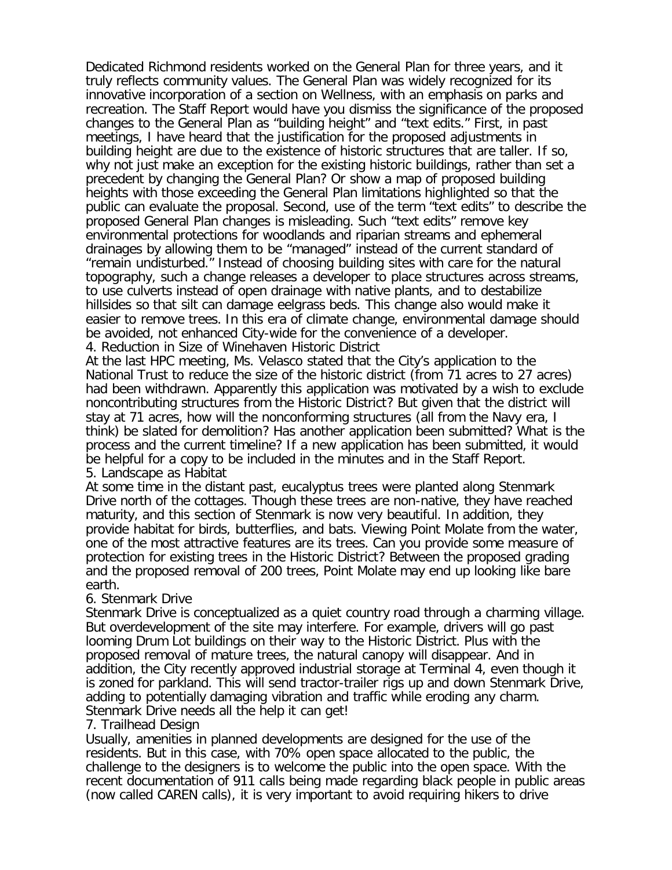Dedicated Richmond residents worked on the General Plan for three years, and it truly reflects community values. The General Plan was widely recognized for its innovative incorporation of a section on Wellness, with an emphasis on parks and recreation. The Staff Report would have you dismiss the significance of the proposed changes to the General Plan as "building height" and "text edits." First, in past meetings, I have heard that the justification for the proposed adjustments in building height are due to the existence of historic structures that are taller. If so, why not just make an exception for the existing historic buildings, rather than set a precedent by changing the General Plan? Or show a map of proposed building heights with those exceeding the General Plan limitations highlighted so that the public can evaluate the proposal. Second, use of the term "text edits" to describe the proposed General Plan changes is misleading. Such "text edits" remove key environmental protections for woodlands and riparian streams and ephemeral drainages by allowing them to be "managed" instead of the current standard of "remain undisturbed." Instead of choosing building sites with care for the natural topography, such a change releases a developer to place structures across streams, to use culverts instead of open drainage with native plants, and to destabilize hillsides so that silt can damage eelgrass beds. This change also would make it easier to remove trees. In this era of climate change, environmental damage should be avoided, not enhanced City-wide for the convenience of a developer. 4. Reduction in Size of Winehaven Historic District

At the last HPC meeting, Ms. Velasco stated that the City's application to the National Trust to reduce the size of the historic district (from 71 acres to 27 acres) had been withdrawn. Apparently this application was motivated by a wish to exclude noncontributing structures from the Historic District? But given that the district will stay at 71 acres, how will the nonconforming structures (all from the Navy era, I think) be slated for demolition? Has another application been submitted? What is the process and the current timeline? If a new application has been submitted, it would be helpful for a copy to be included in the minutes and in the Staff Report. 5. Landscape as Habitat

At some time in the distant past, eucalyptus trees were planted along Stenmark Drive north of the cottages. Though these trees are non-native, they have reached maturity, and this section of Stenmark is now very beautiful. In addition, they provide habitat for birds, butterflies, and bats. Viewing Point Molate from the water, one of the most attractive features are its trees. Can you provide some measure of protection for existing trees in the Historic District? Between the proposed grading and the proposed removal of 200 trees, Point Molate may end up looking like bare earth.

## 6. Stenmark Drive

Stenmark Drive is conceptualized as a quiet country road through a charming village. But overdevelopment of the site may interfere. For example, drivers will go past looming Drum Lot buildings on their way to the Historic District. Plus with the proposed removal of mature trees, the natural canopy will disappear. And in addition, the City recently approved industrial storage at Terminal 4, even though it is zoned for parkland. This will send tractor-trailer rigs up and down Stenmark Drive, adding to potentially damaging vibration and traffic while eroding any charm. Stenmark Drive needs all the help it can get!

### 7. Trailhead Design

Usually, amenities in planned developments are designed for the use of the residents. But in this case, with 70% open space allocated to the public, the challenge to the designers is to welcome the public into the open space. With the recent documentation of 911 calls being made regarding black people in public areas (now called CAREN calls), it is very important to avoid requiring hikers to drive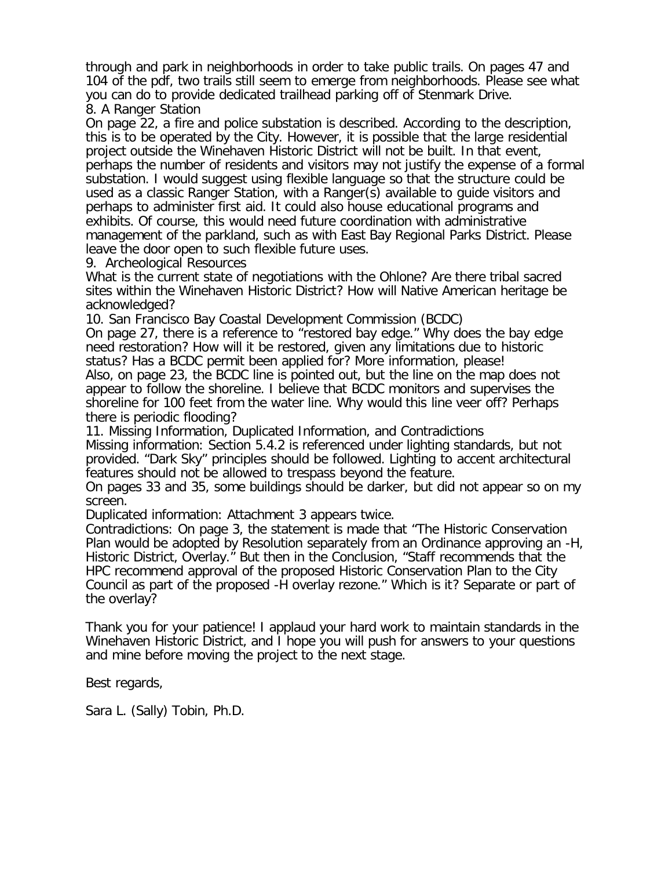through and park in neighborhoods in order to take public trails. On pages 47 and 104 of the pdf, two trails still seem to emerge from neighborhoods. Please see what you can do to provide dedicated trailhead parking off of Stenmark Drive. 8. A Ranger Station

On page 22, a fire and police substation is described. According to the description, this is to be operated by the City. However, it is possible that the large residential project outside the Winehaven Historic District will not be built. In that event, perhaps the number of residents and visitors may not justify the expense of a formal substation. I would suggest using flexible language so that the structure could be used as a classic Ranger Station, with a Ranger(s) available to guide visitors and perhaps to administer first aid. It could also house educational programs and exhibits. Of course, this would need future coordination with administrative management of the parkland, such as with East Bay Regional Parks District. Please leave the door open to such flexible future uses.

9. Archeological Resources

What is the current state of negotiations with the Ohlone? Are there tribal sacred sites within the Winehaven Historic District? How will Native American heritage be acknowledged?

10. San Francisco Bay Coastal Development Commission (BCDC)

On page 27, there is a reference to "restored bay edge." Why does the bay edge need restoration? How will it be restored, given any limitations due to historic status? Has a BCDC permit been applied for? More information, please!

Also, on page 23, the BCDC line is pointed out, but the line on the map does not appear to follow the shoreline. I believe that BCDC monitors and supervises the shoreline for 100 feet from the water line. Why would this line veer off? Perhaps there is periodic flooding?

11. Missing Information, Duplicated Information, and Contradictions Missing information: Section 5.4.2 is referenced under lighting standards, but not provided. "Dark Sky" principles should be followed. Lighting to accent architectural features should not be allowed to trespass beyond the feature.

On pages 33 and 35, some buildings should be darker, but did not appear so on my screen.

Duplicated information: Attachment 3 appears twice.

Contradictions: On page 3, the statement is made that "The Historic Conservation Plan would be adopted by Resolution separately from an Ordinance approving an -H, Historic District, Overlay." But then in the Conclusion, "Staff recommends that the HPC recommend approval of the proposed Historic Conservation Plan to the City Council as part of the proposed -H overlay rezone." Which is it? Separate or part of the overlay?

Thank you for your patience! I applaud your hard work to maintain standards in the Winehaven Historic District, and I hope you will push for answers to your questions and mine before moving the project to the next stage.

Best regards,

Sara L. (Sally) Tobin, Ph.D.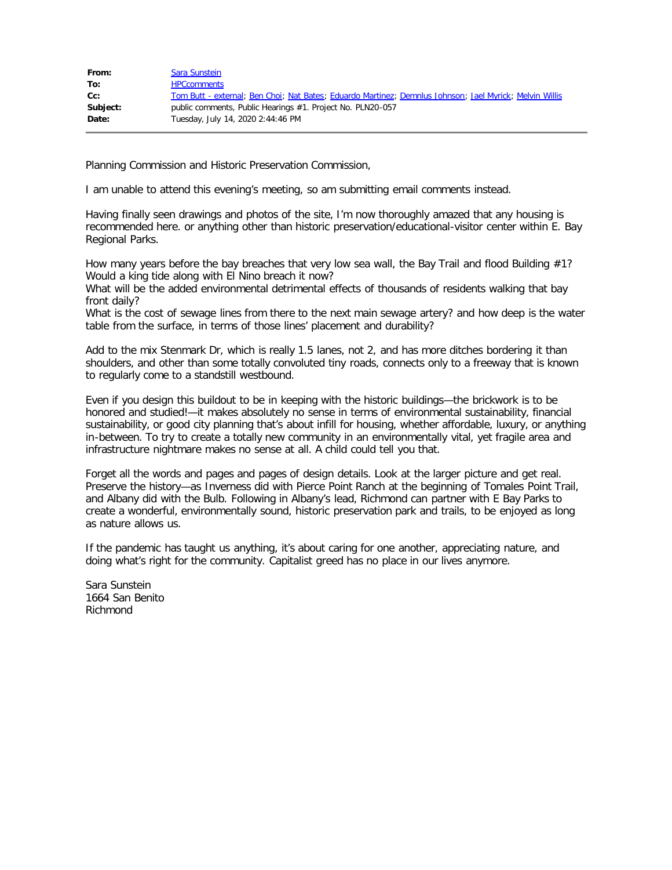| From:    | Sara Sunstein                                                                                           |
|----------|---------------------------------------------------------------------------------------------------------|
| To:      | <b>HPCcomments</b>                                                                                      |
| $Cc$ :   | Tom Butt - external; Ben Choi; Nat Bates; Eduardo Martinez; Demnlus Johnson; Jael Myrick; Melvin Willis |
| Subject: | public comments, Public Hearings #1. Project No. PLN20-057                                              |
| Date:    | Tuesday, July 14, 2020 2:44:46 PM                                                                       |
|          |                                                                                                         |

Planning Commission and Historic Preservation Commission,

I am unable to attend this evening's meeting, so am submitting email comments instead.

Having finally seen drawings and photos of the site, I'm now thoroughly amazed that any housing is recommended here. or anything other than historic preservation/educational-visitor center within E. Bay Regional Parks.

How many years before the bay breaches that very low sea wall, the Bay Trail and flood Building #1? Would a king tide along with El Nino breach it now?

What will be the added environmental detrimental effects of thousands of residents walking that bay front daily?

What is the cost of sewage lines from there to the next main sewage artery? and how deep is the water table from the surface, in terms of those lines' placement and durability?

Add to the mix Stenmark Dr, which is really 1.5 lanes, not 2, and has more ditches bordering it than shoulders, and other than some totally convoluted tiny roads, connects only to a freeway that is known to regularly come to a standstill westbound.

Even if you design this buildout to be in keeping with the historic buildings—the brickwork is to be honored and studied!—it makes absolutely no sense in terms of environmental sustainability, financial sustainability, or good city planning that's about infill for housing, whether affordable, luxury, or anything in-between. To try to create a totally new community in an environmentally vital, yet fragile area and infrastructure nightmare makes no sense at all. A child could tell you that.

Forget all the words and pages and pages of design details. Look at the larger picture and get real. Preserve the history—as Inverness did with Pierce Point Ranch at the beginning of Tomales Point Trail, and Albany did with the Bulb. Following in Albany's lead, Richmond can partner with E Bay Parks to create a wonderful, environmentally sound, historic preservation park and trails, to be enjoyed as long as nature allows us.

If the pandemic has taught us anything, it's about caring for one another, appreciating nature, and doing what's right for the community. Capitalist greed has no place in our lives anymore.

Sara Sunstein 1664 San Benito Richmond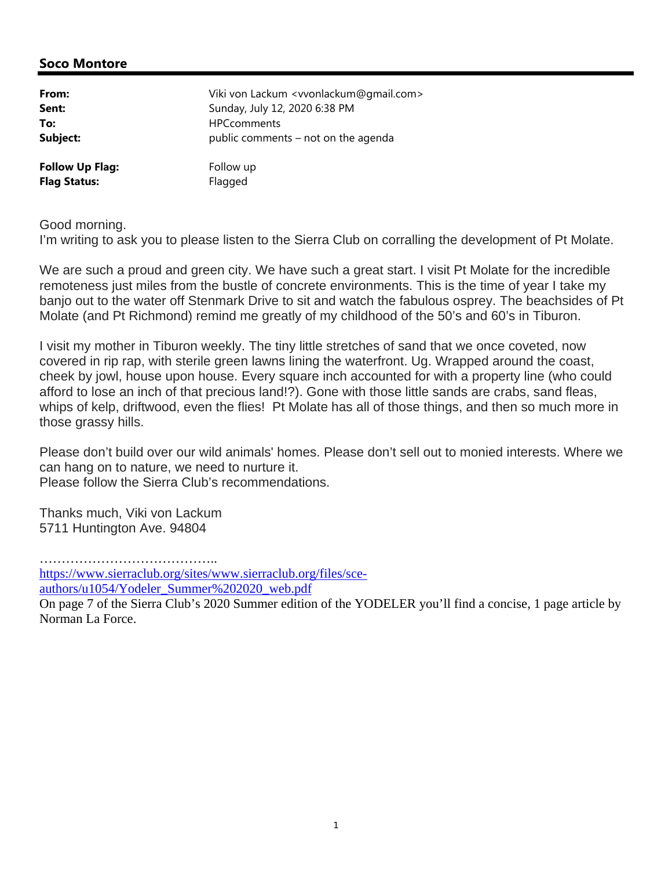| From:                  | Viki von Lackum <vvonlackum@gmail.com></vvonlackum@gmail.com> |
|------------------------|---------------------------------------------------------------|
| Sent:                  | Sunday, July 12, 2020 6:38 PM                                 |
| To:                    | <b>HPCcomments</b>                                            |
| Subject:               | public comments – not on the agenda                           |
| <b>Follow Up Flag:</b> | Follow up                                                     |
| <b>Flag Status:</b>    | Flagged                                                       |

Good morning.

I'm writing to ask you to please listen to the Sierra Club on corralling the development of Pt Molate.

We are such a proud and green city. We have such a great start. I visit Pt Molate for the incredible remoteness just miles from the bustle of concrete environments. This is the time of year I take my banjo out to the water off Stenmark Drive to sit and watch the fabulous osprey. The beachsides of Pt Molate (and Pt Richmond) remind me greatly of my childhood of the 50's and 60's in Tiburon.

I visit my mother in Tiburon weekly. The tiny little stretches of sand that we once coveted, now covered in rip rap, with sterile green lawns lining the waterfront. Ug. Wrapped around the coast, cheek by jowl, house upon house. Every square inch accounted for with a property line (who could afford to lose an inch of that precious land!?). Gone with those little sands are crabs, sand fleas, whips of kelp, driftwood, even the flies! Pt Molate has all of those things, and then so much more in those grassy hills.

Please don't build over our wild animals' homes. Please don't sell out to monied interests. Where we can hang on to nature, we need to nurture it. Please follow the Sierra Club's recommendations.

Thanks much, Viki von Lackum 5711 Huntington Ave. 94804

…………………………………..

authors/u1054/Yodeler\_Summer%202020\_web.pdf

On page 7 of the Sierra Club's 2020 Summer edition of the YODELER you'll find a concise, 1 page article by Norman La Force.

https://www.sierraclub.org/sites/www.sierraclub.org/files/sce-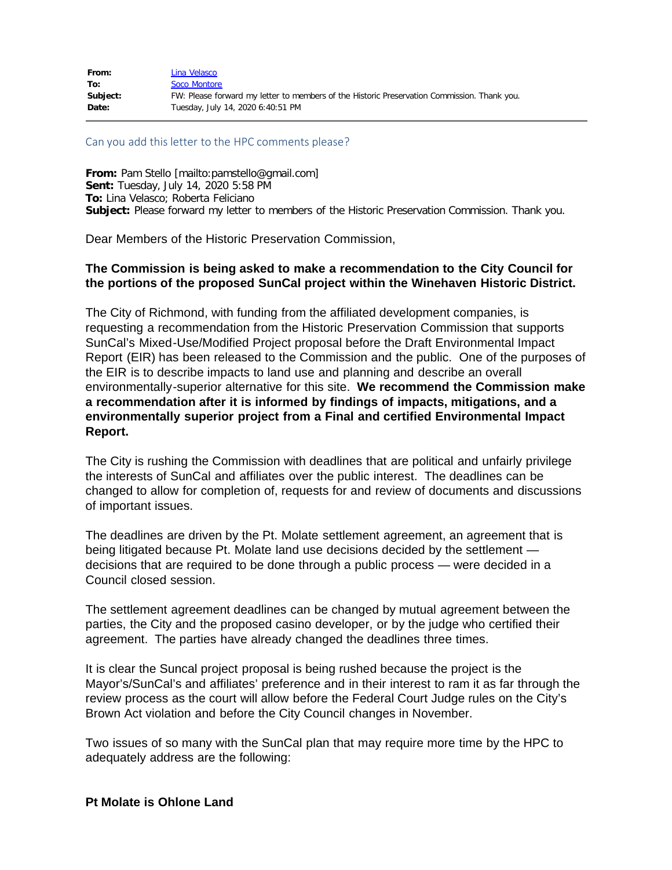| From:    | Lina Velasco                                                                                |
|----------|---------------------------------------------------------------------------------------------|
| To:      | Soco Montore                                                                                |
| Subject: | FW: Please forward my letter to members of the Historic Preservation Commission. Thank you. |
| Date:    | Tuesday, July 14, 2020 6:40:51 PM                                                           |

#### Can you add this letter to the HPC comments please?

**From:** Pam Stello [mailto:pamstello@gmail.com] **Sent:** Tuesday, July 14, 2020 5:58 PM **To:** Lina Velasco; Roberta Feliciano **Subject:** Please forward my letter to members of the Historic Preservation Commission. Thank you.

Dear Members of the Historic Preservation Commission,

### **The Commission is being asked to make a recommendation to the City Council for the portions of the proposed SunCal project within the Winehaven Historic District.**

The City of Richmond, with funding from the affiliated development companies, is requesting a recommendation from the Historic Preservation Commission that supports SunCal's Mixed-Use/Modified Project proposal before the Draft Environmental Impact Report (EIR) has been released to the Commission and the public. One of the purposes of the EIR is to describe impacts to land use and planning and describe an overall environmentally-superior alternative for this site. **We recommend the Commission make a recommendation after it is informed by findings of impacts, mitigations, and a environmentally superior project from a Final and certified Environmental Impact Report.**

The City is rushing the Commission with deadlines that are political and unfairly privilege the interests of SunCal and affiliates over the public interest. The deadlines can be changed to allow for completion of, requests for and review of documents and discussions of important issues.

The deadlines are driven by the Pt. Molate settlement agreement, an agreement that is being litigated because Pt. Molate land use decisions decided by the settlement decisions that are required to be done through a public process — were decided in a Council closed session.

The settlement agreement deadlines can be changed by mutual agreement between the parties, the City and the proposed casino developer, or by the judge who certified their agreement. The parties have already changed the deadlines three times.

It is clear the Suncal project proposal is being rushed because the project is the Mayor's/SunCal's and affiliates' preference and in their interest to ram it as far through the review process as the court will allow before the Federal Court Judge rules on the City's Brown Act violation and before the City Council changes in November.

Two issues of so many with the SunCal plan that may require more time by the HPC to adequately address are the following:

#### **Pt Molate is Ohlone Land**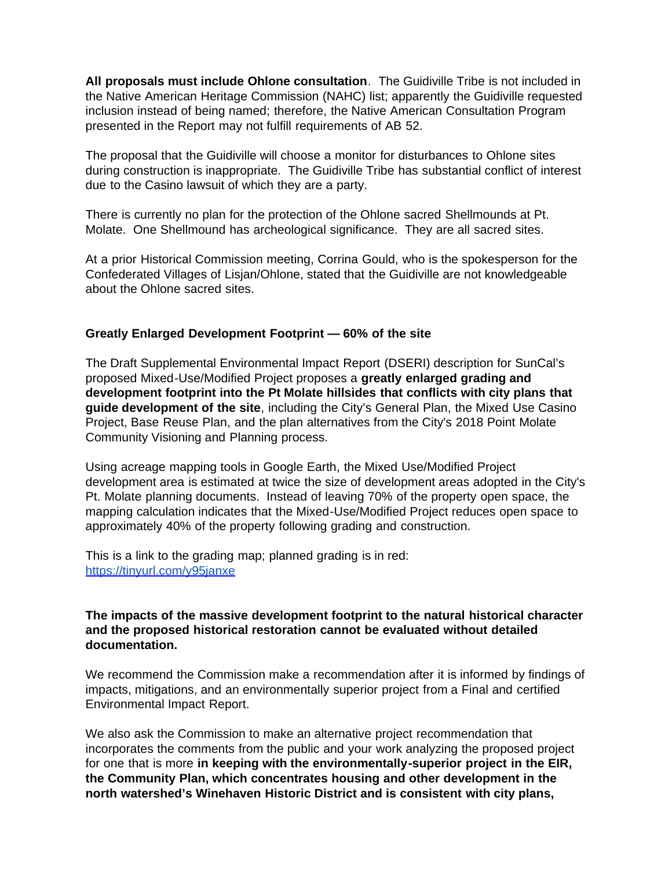**All proposals must include Ohlone consultation**. The Guidiville Tribe is not included in the Native American Heritage Commission (NAHC) list; apparently the Guidiville requested inclusion instead of being named; therefore, the Native American Consultation Program presented in the Report may not fulfill requirements of AB 52.

The proposal that the Guidiville will choose a monitor for disturbances to Ohlone sites during construction is inappropriate. The Guidiville Tribe has substantial conflict of interest due to the Casino lawsuit of which they are a party.

There is currently no plan for the protection of the Ohlone sacred Shellmounds at Pt. Molate. One Shellmound has archeological significance. They are all sacred sites.

At a prior Historical Commission meeting, Corrina Gould, who is the spokesperson for the Confederated Villages of Lisjan/Ohlone, stated that the Guidiville are not knowledgeable about the Ohlone sacred sites.

### **Greatly Enlarged Development Footprint — 60% of the site**

The Draft Supplemental Environmental Impact Report (DSERI) description for SunCal's proposed Mixed-Use/Modified Project proposes a **greatly enlarged grading and development footprint into the Pt Molate hillsides that conflicts with city plans that guide development of the site**, including the City's General Plan, the Mixed Use Casino Project, Base Reuse Plan, and the plan alternatives from the City's 2018 Point Molate Community Visioning and Planning process.

Using acreage mapping tools in Google Earth, the Mixed Use/Modified Project development area is estimated at twice the size of development areas adopted in the City's Pt. Molate planning documents. Instead of leaving 70% of the property open space, the mapping calculation indicates that the Mixed-Use/Modified Project reduces open space to approximately 40% of the property following grading and construction.

This is a link to the grading map; planned grading is in red: [https://tinyurl.com/y95janxe](https://linkprotect.cudasvc.com/url?a=https%3a%2f%2ftinyurl.com%2fy95janxe&c=E,1,bs0AUUW2pCZZzLrUwXd703D7L_FPHp0YSO4exDuqug6EB0rK2XdBsgkDd4TQJLgEsAkj0nSjlA6No5T9_zgC3C50rUDKG9kTGav-LUlfxn5zimm-nNlEaWs,&typo=1)

## **The impacts of the massive development footprint to the natural historical character and the proposed historical restoration cannot be evaluated without detailed documentation.**

We recommend the Commission make a recommendation after it is informed by findings of impacts, mitigations, and an environmentally superior project from a Final and certified Environmental Impact Report.

We also ask the Commission to make an alternative project recommendation that incorporates the comments from the public and your work analyzing the proposed project for one that is more **in keeping with the environmentally-superior project in the EIR, the Community Plan, which concentrates housing and other development in the north watershed's Winehaven Historic District and is consistent with city plans,**